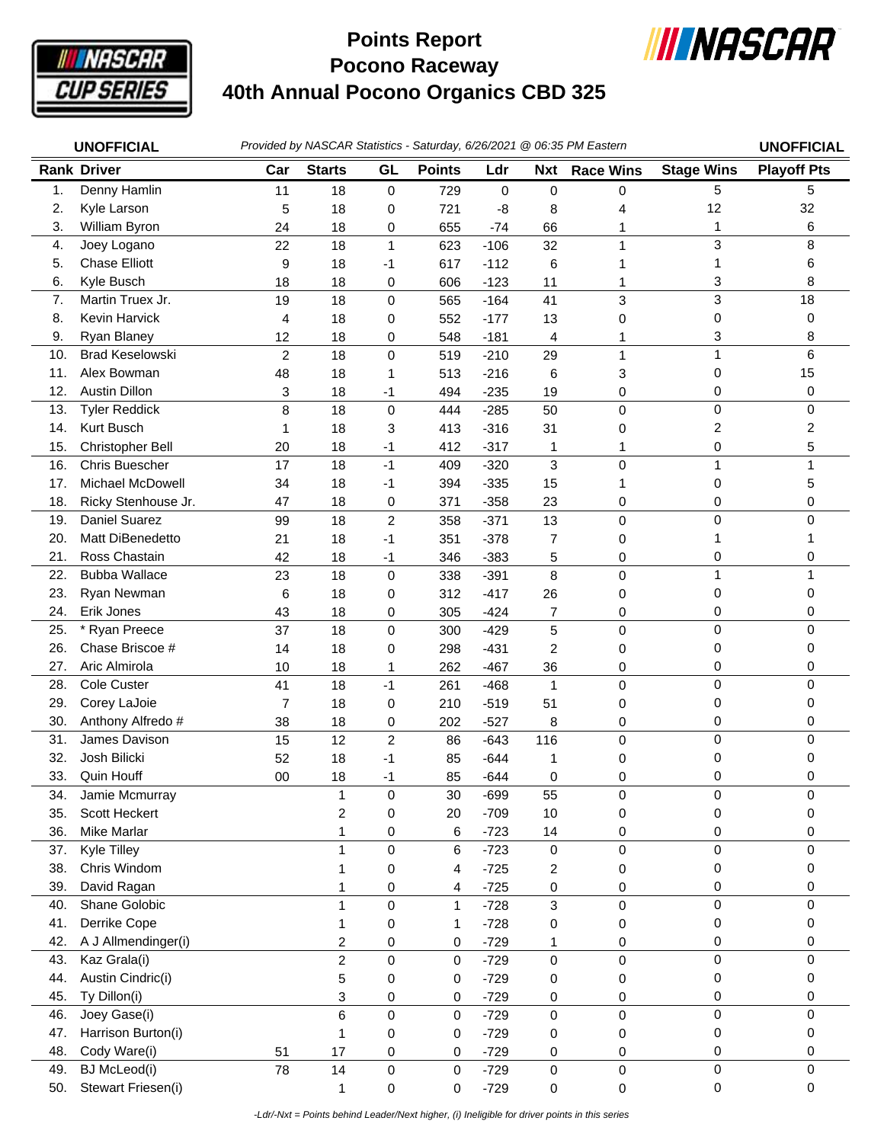

## **Pocono Raceway 40th Annual Pocono Organics CBD 325 Points Report**



|                | <b>UNOFFICIAL</b>      |                |                         |                  |               |        |                | Provided by NASCAR Statistics - Saturday, 6/26/2021 @ 06:35 PM Eastern |                   | <b>UNOFFICIAL</b>  |
|----------------|------------------------|----------------|-------------------------|------------------|---------------|--------|----------------|------------------------------------------------------------------------|-------------------|--------------------|
|                | <b>Rank Driver</b>     | Car            | <b>Starts</b>           | GL               | <b>Points</b> | Ldr    | <b>Nxt</b>     | <b>Race Wins</b>                                                       | <b>Stage Wins</b> | <b>Playoff Pts</b> |
| $\mathbf{1}$ . | Denny Hamlin           | 11             | 18                      | $\pmb{0}$        | 729           | 0      | 0              | 0                                                                      | 5                 | 5                  |
| 2.             | Kyle Larson            | 5              | 18                      | 0                | 721           | -8     | 8              | 4                                                                      | 12                | 32                 |
| 3.             | William Byron          | 24             | 18                      | 0                | 655           | $-74$  | 66             | 1                                                                      | 1                 | 6                  |
| 4.             | Joey Logano            | 22             | 18                      | 1                | 623           | $-106$ | 32             | 1                                                                      | 3                 | 8                  |
| 5.             | <b>Chase Elliott</b>   | 9              | 18                      | -1               | 617           | $-112$ | 6              |                                                                        | 1                 | 6                  |
| 6.             | Kyle Busch             | 18             | 18                      | 0                | 606           | $-123$ | 11             | 1                                                                      | 3                 | 8                  |
| 7.             | Martin Truex Jr.       | 19             | 18                      | 0                | 565           | $-164$ | 41             | 3                                                                      | 3                 | 18                 |
| 8.             | Kevin Harvick          | 4              | 18                      | 0                | 552           | $-177$ | 13             | 0                                                                      | 0                 | 0                  |
| 9.             | Ryan Blaney            | 12             | 18                      | 0                | 548           | $-181$ | $\overline{4}$ |                                                                        | 3                 | 8                  |
| 10.            | <b>Brad Keselowski</b> | $\overline{2}$ | 18                      | $\mathsf 0$      | 519           | $-210$ | 29             | $\mathbf{1}$                                                           | $\mathbf{1}$      | 6                  |
| 11.            | Alex Bowman            | 48             | 18                      | 1                | 513           | $-216$ | 6              | 3                                                                      | 0                 | 15                 |
| 12.            | <b>Austin Dillon</b>   | 3              | 18                      | $-1$             | 494           | $-235$ | 19             | 0                                                                      | 0                 | 0                  |
| 13.            | <b>Tyler Reddick</b>   | 8              | 18                      | 0                | 444           | $-285$ | 50             | 0                                                                      | 0                 | 0                  |
| 14.            | Kurt Busch             | 1              | 18                      | 3                | 413           | $-316$ | 31             | 0                                                                      | 2                 | 2                  |
| 15.            | Christopher Bell       | 20             | 18                      | -1               | 412           | $-317$ | 1              | 1                                                                      | 0                 | 5                  |
| 16.            | <b>Chris Buescher</b>  | 17             | 18                      | $-1$             | 409           | $-320$ | 3              | $\mathbf 0$                                                            | $\mathbf{1}$      |                    |
| 17.            | Michael McDowell       | 34             | 18                      | $-1$             | 394           | $-335$ | 15             | 1                                                                      | 0                 | 5                  |
| 18.            | Ricky Stenhouse Jr.    | 47             | 18                      | 0                | 371           | $-358$ | 23             | 0                                                                      | 0                 | 0                  |
| 19.            | Daniel Suarez          | 99             | 18                      | $\boldsymbol{2}$ | 358           | $-371$ | 13             | $\mathsf 0$                                                            | $\mathsf 0$       | 0                  |
| 20.            | Matt DiBenedetto       | 21             | 18                      | $-1$             | 351           | $-378$ | 7              | 0                                                                      | 1                 |                    |
| 21.            | Ross Chastain          | 42             | 18                      | $-1$             | 346           | $-383$ | 5              | 0                                                                      | 0                 | 0                  |
| 22.            | <b>Bubba Wallace</b>   | 23             | 18                      | $\pmb{0}$        | 338           | $-391$ | 8              | $\pmb{0}$                                                              | $\mathbf{1}$      |                    |
| 23.            | Ryan Newman            | 6              | 18                      | 0                | 312           | $-417$ | 26             | 0                                                                      | 0                 | 0                  |
| 24.            | Erik Jones             | 43             | 18                      | 0                | 305           | $-424$ | 7              | 0                                                                      | 0                 | 0                  |
| 25.            | * Ryan Preece          | 37             | 18                      | 0                | 300           | $-429$ | 5              | $\mathbf 0$                                                            | 0                 | 0                  |
| 26.            | Chase Briscoe #        | 14             | 18                      | 0                | 298           | $-431$ | 2              | 0                                                                      | 0                 | 0                  |
| 27.            | Aric Almirola          | 10             | 18                      | 1                | 262           | $-467$ | 36             | 0                                                                      | 0                 | 0                  |
| 28.            | Cole Custer            | 41             | 18                      | $-1$             | 261           | $-468$ | $\mathbf{1}$   | $\pmb{0}$                                                              | $\mathsf 0$       | 0                  |
| 29.            | Corey LaJoie           | 7              | 18                      | 0                | 210           | $-519$ | 51             | 0                                                                      | 0                 | 0                  |
| 30.            | Anthony Alfredo #      | 38             | 18                      | 0                | 202           | $-527$ | 8              | 0                                                                      | 0                 | 0                  |
| 31.            | James Davison          | 15             | 12                      | $\overline{c}$   | 86            | $-643$ | 116            | 0                                                                      | 0                 | 0                  |
| 32.            | Josh Bilicki           | 52             | 18                      | -1               | 85            | $-644$ | 1              | 0                                                                      | 0                 | 0                  |
| 33.            | Quin Houff             | 00             | 18                      | -1               | 85            | $-644$ | 0              | 0                                                                      | 0                 | 0                  |
| 34.            | Jamie Mcmurray         |                | 1                       | 0                | 30            | $-699$ | 55             | 0                                                                      | 0                 | 0                  |
| 35.            | Scott Heckert          |                | 2                       | 0                | 20            | $-709$ | $10$           | 0                                                                      | 0                 | 0                  |
| 36.            | Mike Marlar            |                | 1                       | 0                | 6             | $-723$ | 14             | 0                                                                      | 0                 | 0                  |
| 37.            | Kyle Tilley            |                | 1                       | 0                | 6             | $-723$ | $\mathbf 0$    | 0                                                                      | 0                 | 0                  |
| 38.            | Chris Windom           |                |                         | 0                | 4             | $-725$ | $\overline{c}$ | 0                                                                      | 0                 | 0                  |
| 39.            | David Ragan            |                | 1                       | 0                | 4             | $-725$ | 0              | 0                                                                      | 0                 | 0                  |
| 40.            | Shane Golobic          |                | 1                       | 0                | $\mathbf{1}$  | $-728$ | 3              | $\pmb{0}$                                                              | 0                 | 0                  |
| 41.            | Derrike Cope           |                | 1                       | 0                | 1             | $-728$ | 0              | 0                                                                      | 0                 | 0                  |
| 42.            | A J Allmendinger(i)    |                | $\overline{\mathbf{c}}$ | 0                | 0             | $-729$ | 1              | 0                                                                      | 0                 | 0                  |
| 43.            | Kaz Grala(i)           |                | $\overline{c}$          | 0                | 0             | $-729$ | $\pmb{0}$      | 0                                                                      | $\mathbf 0$       | 0                  |
| 44.            | Austin Cindric(i)      |                | 5                       | 0                | 0             | $-729$ | 0              | 0                                                                      | 0                 | 0                  |
| 45.            | Ty Dillon(i)           |                | 3                       | 0                | 0             | $-729$ | 0              | 0                                                                      | 0                 | 0                  |
| 46.            | Joey Gase(i)           |                | 6                       | $\mathsf 0$      | $\mathbf 0$   | $-729$ | $\pmb{0}$      | 0                                                                      | 0                 | 0                  |
| 47.            | Harrison Burton(i)     |                | 1                       | 0                | 0             | $-729$ | 0              | 0                                                                      | 0                 | 0                  |
| 48.            | Cody Ware(i)           | 51             | 17                      | 0                | 0             | $-729$ | 0              | 0                                                                      | 0                 | 0                  |
| 49.            | <b>BJ</b> McLeod(i)    | 78             | 14                      | 0                | $\mathbf 0$   | $-729$ | $\mathbf 0$    | $\pmb{0}$                                                              | $\mathsf 0$       | $\Omega$           |
| 50.            | Stewart Friesen(i)     |                | 1                       | 0                | 0             | $-729$ | 0              | 0                                                                      | 0                 | 0                  |